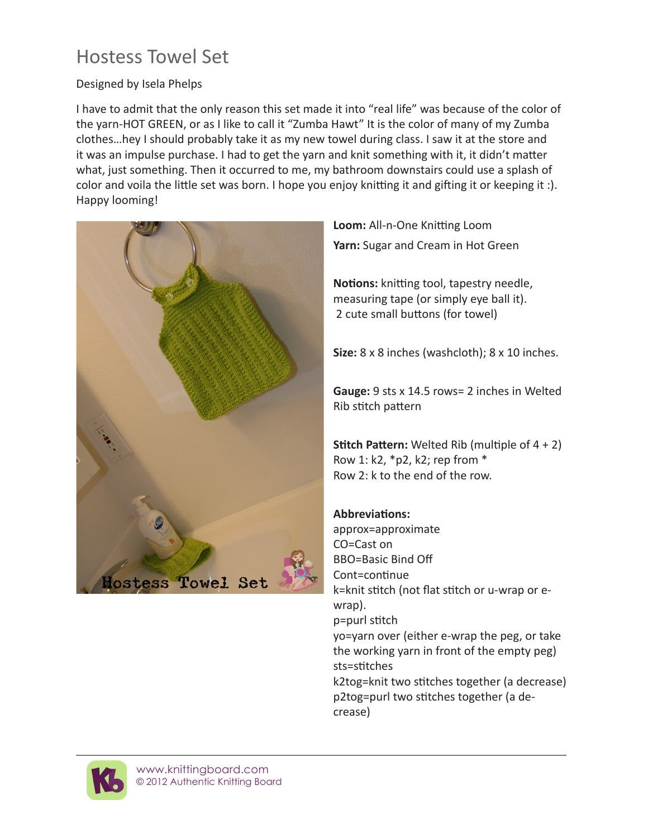# Hostess Towel Set

### Designed by Isela Phelps

I have to admit that the only reason this set made it into "real life" was because of the color of the yarn-HOT GREEN, or as I like to call it "Zumba Hawt" It is the color of many of my Zumba clothes…hey I should probably take it as my new towel during class. I saw it at the store and it was an impulse purchase. I had to get the yarn and knit something with it, it didn't matter what, just something. Then it occurred to me, my bathroom downstairs could use a splash of color and voila the little set was born. I hope you enjoy knitting it and gifting it or keeping it :). Happy looming!



**Loom:** All-n-One Knitting Loom **Yarn:** Sugar and Cream in Hot Green

**Notions:** knitting tool, tapestry needle, measuring tape (or simply eye ball it). 2 cute small buttons (for towel)

**Size:** 8 x 8 inches (washcloth); 8 x 10 inches.

**Gauge:** 9 sts x 14.5 rows= 2 inches in Welted Rib stitch pattern

**Stitch Pattern:** Welted Rib (multiple of 4 + 2) Row 1: k2, \*p2, k2; rep from \* Row 2: k to the end of the row.

### **Abbreviations:**

approx=approximate CO=Cast on BBO=Basic Bind Off Cont=continue k=knit stitch (not flat stitch or u-wrap or ewrap). p=purl stitch yo=yarn over (either e-wrap the peg, or take the working yarn in front of the empty peg) sts=stitches k2tog=knit two stitches together (a decrease) p2tog=purl two stitches together (a decrease)